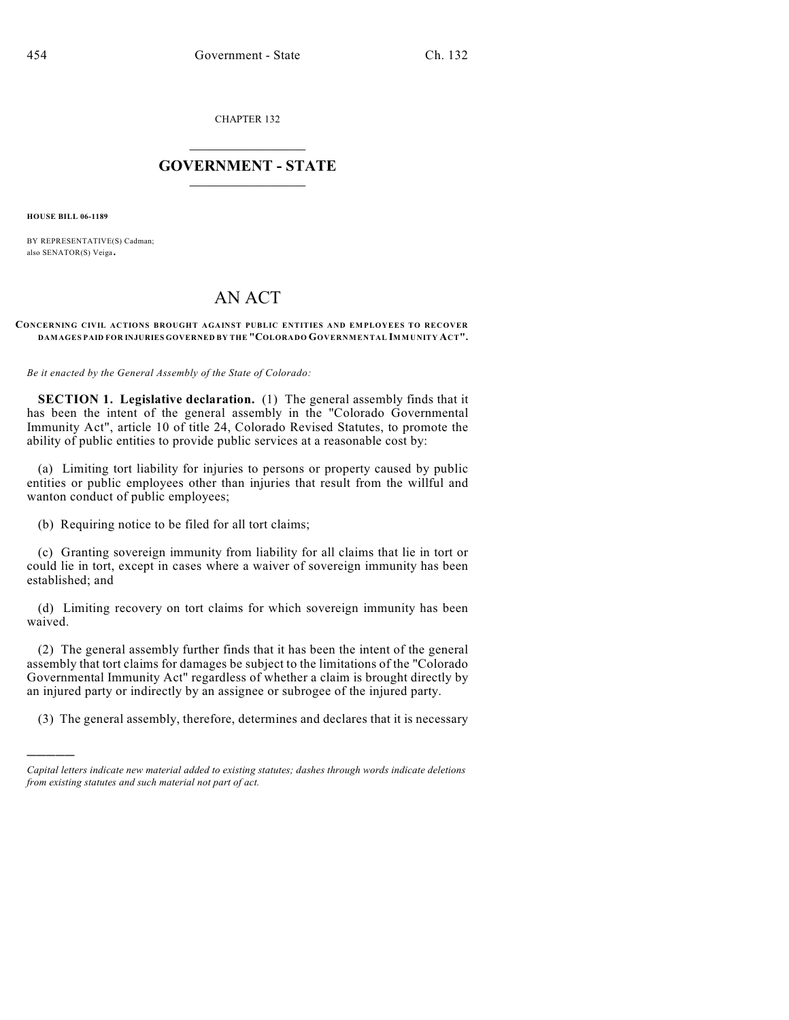CHAPTER 132

## $\overline{\phantom{a}}$  . The set of the set of the set of the set of the set of the set of the set of the set of the set of the set of the set of the set of the set of the set of the set of the set of the set of the set of the set o **GOVERNMENT - STATE**  $\_$

**HOUSE BILL 06-1189**

)))))

BY REPRESENTATIVE(S) Cadman; also SENATOR(S) Veiga.

## AN ACT

## **CONCERNING CIVIL ACTIONS BROUGHT AGAINST PUBLIC ENTITIES AND EMPLOYEES TO RECOVER DAMAGES PAID FOR INJURIES GOVERNED BY THE "COLORADO GOVERNMENTAL IMMUNITY ACT".**

*Be it enacted by the General Assembly of the State of Colorado:*

**SECTION 1. Legislative declaration.** (1) The general assembly finds that it has been the intent of the general assembly in the "Colorado Governmental Immunity Act", article 10 of title 24, Colorado Revised Statutes, to promote the ability of public entities to provide public services at a reasonable cost by:

(a) Limiting tort liability for injuries to persons or property caused by public entities or public employees other than injuries that result from the willful and wanton conduct of public employees;

(b) Requiring notice to be filed for all tort claims;

(c) Granting sovereign immunity from liability for all claims that lie in tort or could lie in tort, except in cases where a waiver of sovereign immunity has been established; and

(d) Limiting recovery on tort claims for which sovereign immunity has been waived.

(2) The general assembly further finds that it has been the intent of the general assembly that tort claims for damages be subject to the limitations of the "Colorado Governmental Immunity Act" regardless of whether a claim is brought directly by an injured party or indirectly by an assignee or subrogee of the injured party.

(3) The general assembly, therefore, determines and declares that it is necessary

*Capital letters indicate new material added to existing statutes; dashes through words indicate deletions from existing statutes and such material not part of act.*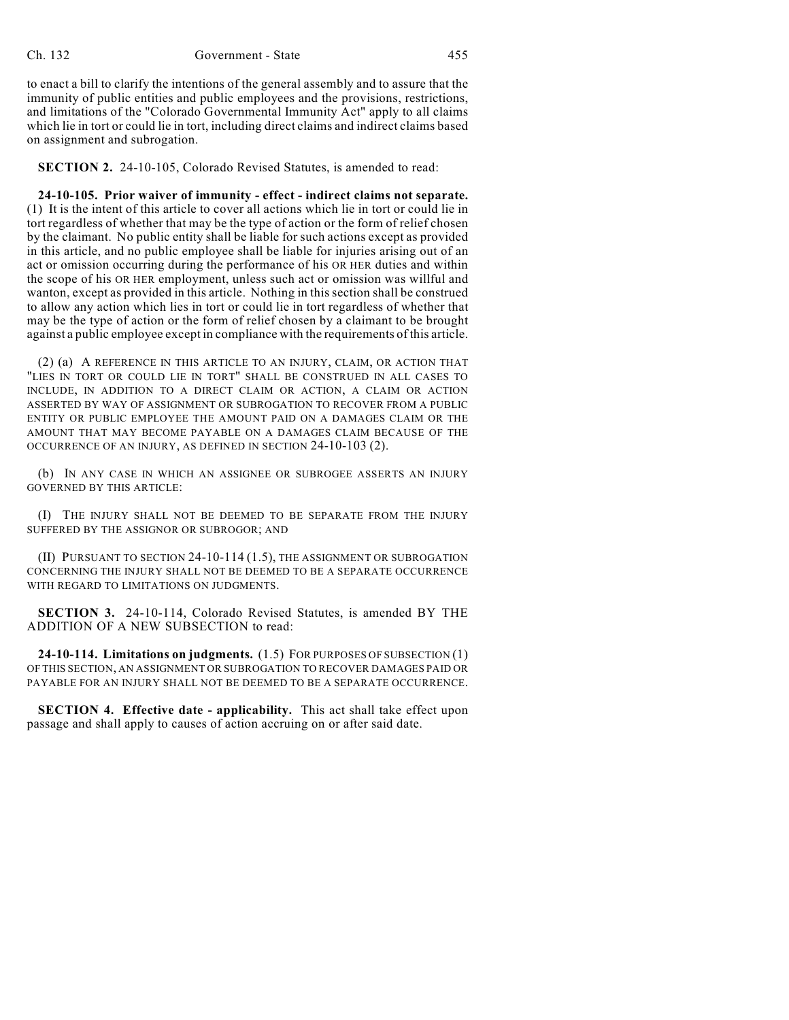to enact a bill to clarify the intentions of the general assembly and to assure that the immunity of public entities and public employees and the provisions, restrictions, and limitations of the "Colorado Governmental Immunity Act" apply to all claims which lie in tort or could lie in tort, including direct claims and indirect claims based on assignment and subrogation.

**SECTION 2.** 24-10-105, Colorado Revised Statutes, is amended to read:

**24-10-105. Prior waiver of immunity - effect - indirect claims not separate.** (1) It is the intent of this article to cover all actions which lie in tort or could lie in tort regardless of whether that may be the type of action or the form of relief chosen by the claimant. No public entity shall be liable for such actions except as provided in this article, and no public employee shall be liable for injuries arising out of an act or omission occurring during the performance of his OR HER duties and within the scope of his OR HER employment, unless such act or omission was willful and wanton, except as provided in this article. Nothing in this section shall be construed to allow any action which lies in tort or could lie in tort regardless of whether that may be the type of action or the form of relief chosen by a claimant to be brought against a public employee except in compliance with the requirements of this article.

(2) (a) A REFERENCE IN THIS ARTICLE TO AN INJURY, CLAIM, OR ACTION THAT "LIES IN TORT OR COULD LIE IN TORT" SHALL BE CONSTRUED IN ALL CASES TO INCLUDE, IN ADDITION TO A DIRECT CLAIM OR ACTION, A CLAIM OR ACTION ASSERTED BY WAY OF ASSIGNMENT OR SUBROGATION TO RECOVER FROM A PUBLIC ENTITY OR PUBLIC EMPLOYEE THE AMOUNT PAID ON A DAMAGES CLAIM OR THE AMOUNT THAT MAY BECOME PAYABLE ON A DAMAGES CLAIM BECAUSE OF THE OCCURRENCE OF AN INJURY, AS DEFINED IN SECTION 24-10-103 (2).

(b) IN ANY CASE IN WHICH AN ASSIGNEE OR SUBROGEE ASSERTS AN INJURY GOVERNED BY THIS ARTICLE:

(I) THE INJURY SHALL NOT BE DEEMED TO BE SEPARATE FROM THE INJURY SUFFERED BY THE ASSIGNOR OR SUBROGOR; AND

(II) PURSUANT TO SECTION 24-10-114 (1.5), THE ASSIGNMENT OR SUBROGATION CONCERNING THE INJURY SHALL NOT BE DEEMED TO BE A SEPARATE OCCURRENCE WITH REGARD TO LIMITATIONS ON JUDGMENTS.

**SECTION 3.** 24-10-114, Colorado Revised Statutes, is amended BY THE ADDITION OF A NEW SUBSECTION to read:

**24-10-114. Limitations on judgments.** (1.5) FOR PURPOSES OF SUBSECTION (1) OF THIS SECTION, AN ASSIGNMENT OR SUBROGATION TO RECOVER DAMAGES PAID OR PAYABLE FOR AN INJURY SHALL NOT BE DEEMED TO BE A SEPARATE OCCURRENCE.

**SECTION 4. Effective date - applicability.** This act shall take effect upon passage and shall apply to causes of action accruing on or after said date.